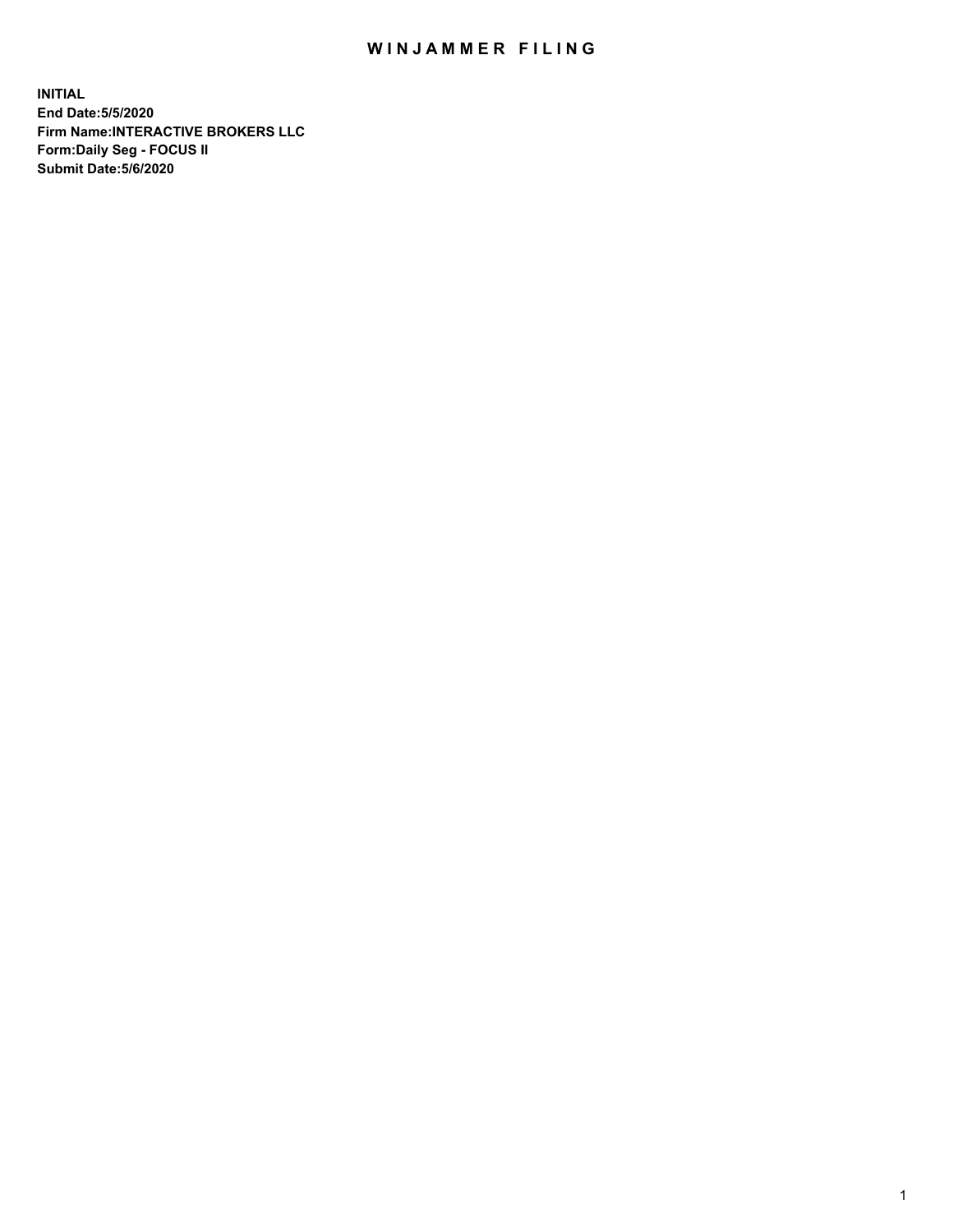## WIN JAMMER FILING

**INITIAL End Date:5/5/2020 Firm Name:INTERACTIVE BROKERS LLC Form:Daily Seg - FOCUS II Submit Date:5/6/2020**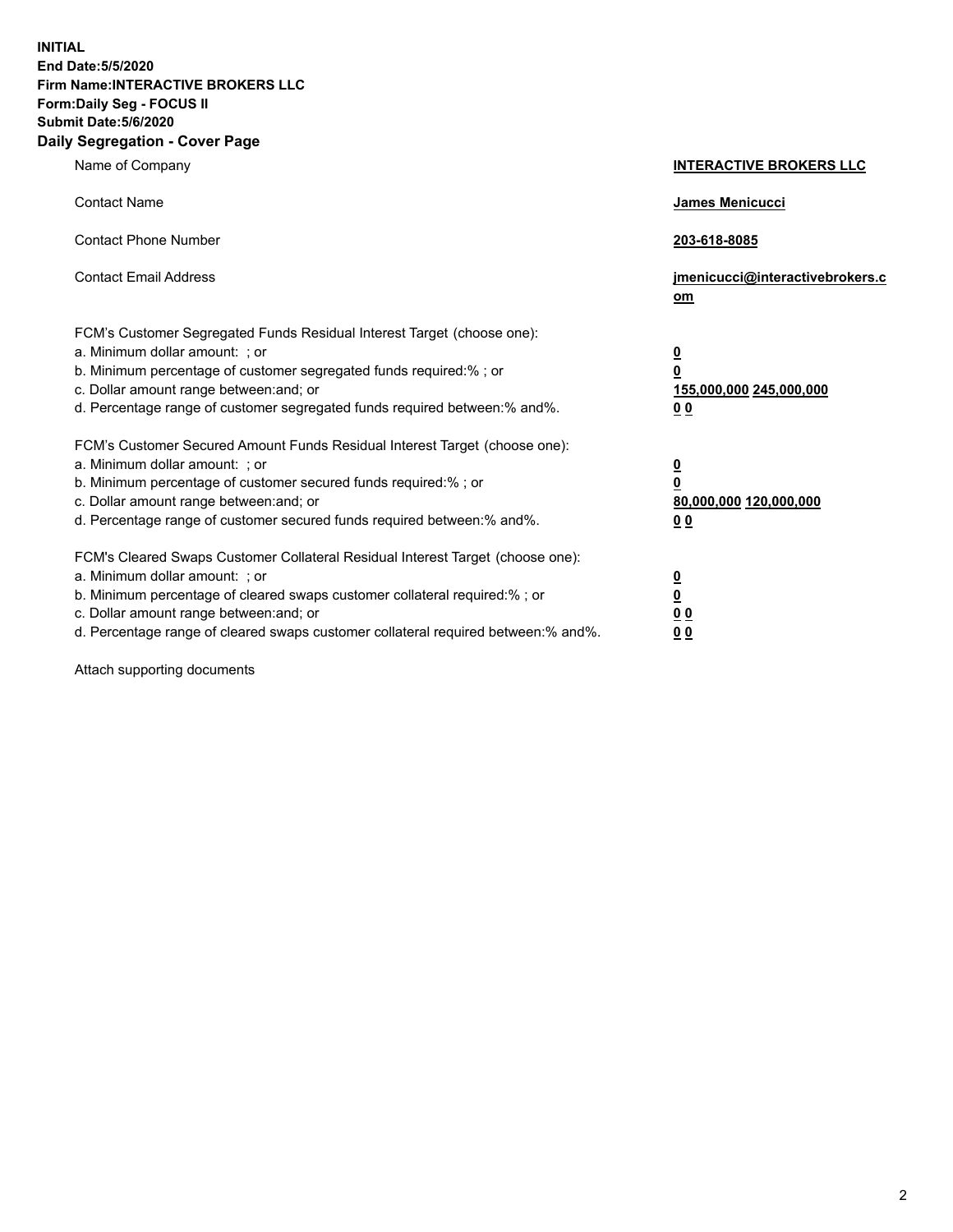**INITIAL End Date:5/5/2020 Firm Name:INTERACTIVE BROKERS LLC Form:Daily Seg - FOCUS II Submit Date:5/6/2020 Daily Segregation - Cover Page**

| Name of Company                                                                                                                                                                                                                                                                                                                | <b>INTERACTIVE BROKERS LLC</b>                                                                  |
|--------------------------------------------------------------------------------------------------------------------------------------------------------------------------------------------------------------------------------------------------------------------------------------------------------------------------------|-------------------------------------------------------------------------------------------------|
| <b>Contact Name</b>                                                                                                                                                                                                                                                                                                            | James Menicucci                                                                                 |
| <b>Contact Phone Number</b>                                                                                                                                                                                                                                                                                                    | 203-618-8085                                                                                    |
| <b>Contact Email Address</b>                                                                                                                                                                                                                                                                                                   | jmenicucci@interactivebrokers.c<br>om                                                           |
| FCM's Customer Segregated Funds Residual Interest Target (choose one):<br>a. Minimum dollar amount: : or<br>b. Minimum percentage of customer segregated funds required:% ; or<br>c. Dollar amount range between: and; or<br>d. Percentage range of customer segregated funds required between:% and%.                         | $\overline{\mathbf{0}}$<br>$\overline{\mathbf{0}}$<br>155,000,000 245,000,000<br>0 <sub>0</sub> |
| FCM's Customer Secured Amount Funds Residual Interest Target (choose one):<br>a. Minimum dollar amount: ; or<br>b. Minimum percentage of customer secured funds required:% ; or<br>c. Dollar amount range between: and; or<br>d. Percentage range of customer secured funds required between:% and%.                           | $\frac{0}{0}$<br>80,000,000 120,000,000<br>00                                                   |
| FCM's Cleared Swaps Customer Collateral Residual Interest Target (choose one):<br>a. Minimum dollar amount: ; or<br>b. Minimum percentage of cleared swaps customer collateral required:% ; or<br>c. Dollar amount range between: and; or<br>d. Percentage range of cleared swaps customer collateral required between:% and%. | $\overline{\mathbf{0}}$<br>$\underline{\mathbf{0}}$<br>0 <sub>0</sub><br>0 <sub>0</sub>         |

Attach supporting documents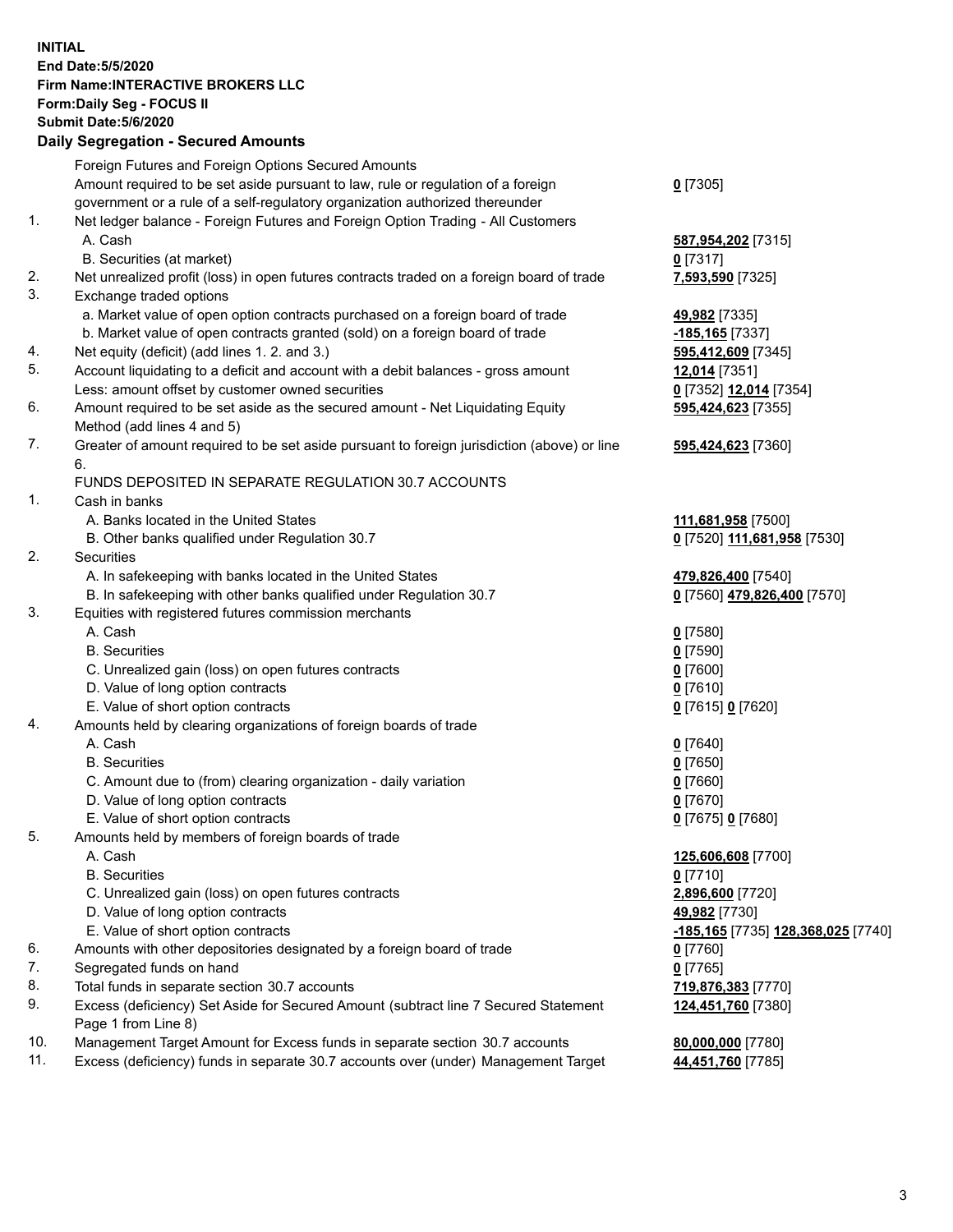## **INITIAL End Date:5/5/2020 Firm Name:INTERACTIVE BROKERS LLC Form:Daily Seg - FOCUS II Submit Date:5/6/2020 Daily Segregation - Secured Amounts**

|     | 2011, Ocgi ogation - Oceaned Anioania                                                                                       |                                                  |
|-----|-----------------------------------------------------------------------------------------------------------------------------|--------------------------------------------------|
|     | Foreign Futures and Foreign Options Secured Amounts                                                                         |                                                  |
|     | Amount required to be set aside pursuant to law, rule or regulation of a foreign                                            | $0$ [7305]                                       |
|     | government or a rule of a self-regulatory organization authorized thereunder                                                |                                                  |
| 1.  | Net ledger balance - Foreign Futures and Foreign Option Trading - All Customers                                             |                                                  |
|     | A. Cash                                                                                                                     | 587,954,202 [7315]                               |
|     | B. Securities (at market)                                                                                                   | $0$ [7317]                                       |
| 2.  | Net unrealized profit (loss) in open futures contracts traded on a foreign board of trade                                   | 7,593,590 [7325]                                 |
| 3.  | Exchange traded options                                                                                                     |                                                  |
|     | a. Market value of open option contracts purchased on a foreign board of trade                                              | 49,982 [7335]                                    |
|     | b. Market value of open contracts granted (sold) on a foreign board of trade                                                | -185,165 <sup>[7337]</sup>                       |
| 4.  | Net equity (deficit) (add lines 1. 2. and 3.)                                                                               | 595,412,609 [7345]                               |
| 5.  | Account liquidating to a deficit and account with a debit balances - gross amount                                           | 12,014 [7351]                                    |
|     | Less: amount offset by customer owned securities                                                                            | 0 [7352] 12,014 [7354]                           |
| 6.  | Amount required to be set aside as the secured amount - Net Liquidating Equity                                              | 595,424,623 [7355]                               |
|     | Method (add lines 4 and 5)                                                                                                  |                                                  |
| 7.  | Greater of amount required to be set aside pursuant to foreign jurisdiction (above) or line                                 | 595,424,623 [7360]                               |
|     | 6.                                                                                                                          |                                                  |
|     | FUNDS DEPOSITED IN SEPARATE REGULATION 30.7 ACCOUNTS                                                                        |                                                  |
| 1.  | Cash in banks                                                                                                               |                                                  |
|     | A. Banks located in the United States                                                                                       | 111,681,958 [7500]                               |
|     | B. Other banks qualified under Regulation 30.7                                                                              | 0 [7520] 111,681,958 [7530]                      |
| 2.  | Securities                                                                                                                  |                                                  |
|     | A. In safekeeping with banks located in the United States                                                                   | 479,826,400 [7540]                               |
| 3.  | B. In safekeeping with other banks qualified under Regulation 30.7<br>Equities with registered futures commission merchants | 0 [7560] 479,826,400 [7570]                      |
|     | A. Cash                                                                                                                     | $0$ [7580]                                       |
|     | <b>B.</b> Securities                                                                                                        | $0$ [7590]                                       |
|     | C. Unrealized gain (loss) on open futures contracts                                                                         | $0$ [7600]                                       |
|     | D. Value of long option contracts                                                                                           | $0$ [7610]                                       |
|     | E. Value of short option contracts                                                                                          | 0 [7615] 0 [7620]                                |
| 4.  | Amounts held by clearing organizations of foreign boards of trade                                                           |                                                  |
|     | A. Cash                                                                                                                     | $0$ [7640]                                       |
|     | <b>B.</b> Securities                                                                                                        | $0$ [7650]                                       |
|     | C. Amount due to (from) clearing organization - daily variation                                                             | $0$ [7660]                                       |
|     | D. Value of long option contracts                                                                                           | $0$ [7670]                                       |
|     | E. Value of short option contracts                                                                                          | 0 [7675] 0 [7680]                                |
| 5.  | Amounts held by members of foreign boards of trade                                                                          |                                                  |
|     | A. Cash                                                                                                                     | 125,606,608 [7700]                               |
|     | <b>B.</b> Securities                                                                                                        | $0$ [7710]                                       |
|     | C. Unrealized gain (loss) on open futures contracts                                                                         | 2,896,600 [7720]                                 |
|     | D. Value of long option contracts                                                                                           | 49,982 [7730]                                    |
|     | E. Value of short option contracts                                                                                          | <u>-185,165</u> [7735] <u>128,368,025</u> [7740] |
| 6.  | Amounts with other depositories designated by a foreign board of trade                                                      | $0$ [7760]                                       |
| 7.  | Segregated funds on hand                                                                                                    | $0$ [7765]                                       |
| 8.  | Total funds in separate section 30.7 accounts                                                                               | 719,876,383 [7770]                               |
| 9.  | Excess (deficiency) Set Aside for Secured Amount (subtract line 7 Secured Statement                                         | 124,451,760 [7380]                               |
|     | Page 1 from Line 8)                                                                                                         |                                                  |
| 10. | Management Target Amount for Excess funds in separate section 30.7 accounts                                                 | 80,000,000 [7780]                                |
| 11. | Excess (deficiency) funds in separate 30.7 accounts over (under) Management Target                                          | 44,451,760 [7785]                                |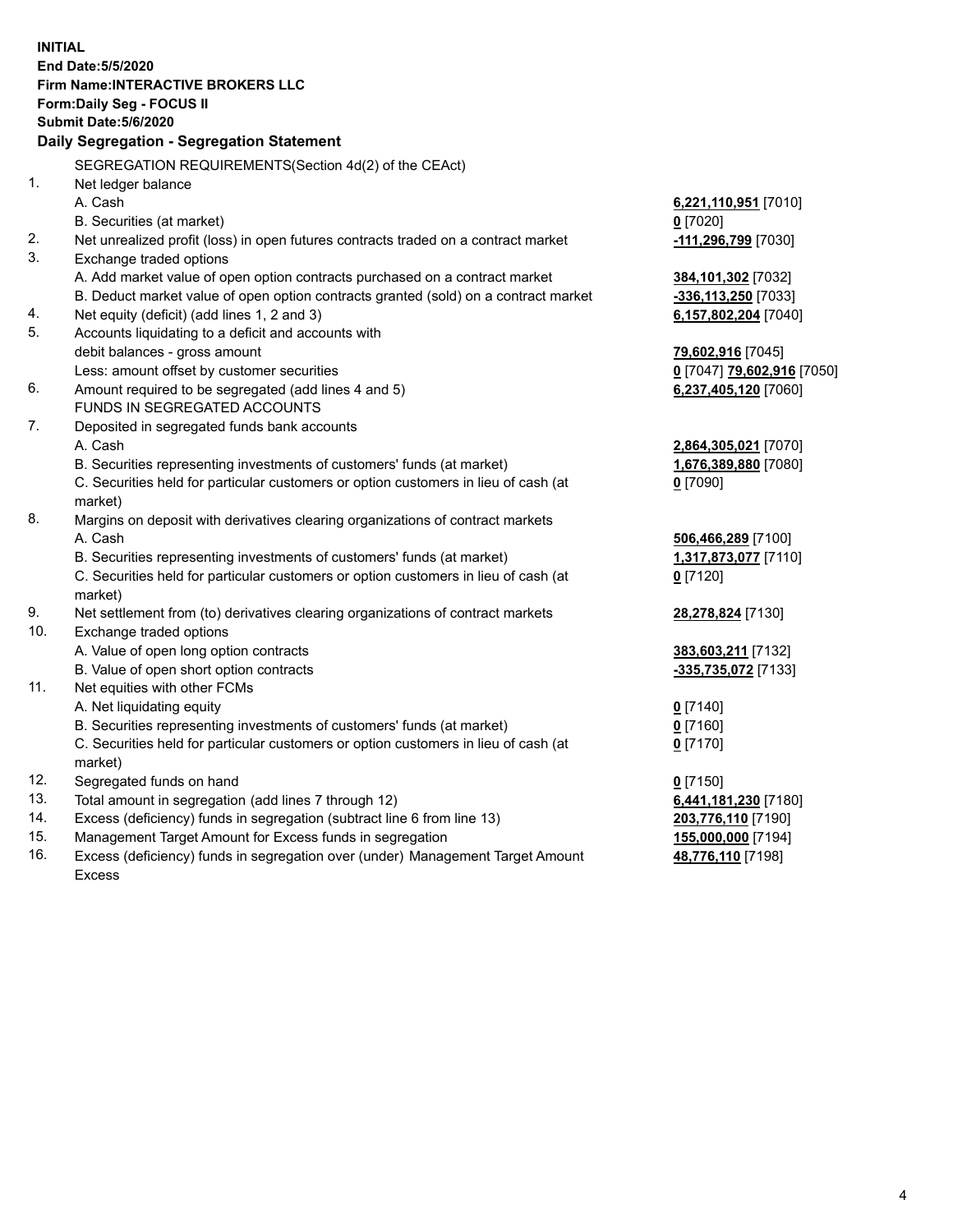**INITIAL End Date:5/5/2020 Firm Name:INTERACTIVE BROKERS LLC Form:Daily Seg - FOCUS II Submit Date:5/6/2020 Daily Segregation - Segregation Statement** SEGREGATION REQUIREMENTS(Section 4d(2) of the CEAct) 1. Net ledger balance A. Cash **6,221,110,951** [7010] B. Securities (at market) **0** [7020] 2. Net unrealized profit (loss) in open futures contracts traded on a contract market **-111,296,799** [7030] 3. Exchange traded options A. Add market value of open option contracts purchased on a contract market **384,101,302** [7032] B. Deduct market value of open option contracts granted (sold) on a contract market **-336,113,250** [7033] 4. Net equity (deficit) (add lines 1, 2 and 3) **6,157,802,204** [7040] 5. Accounts liquidating to a deficit and accounts with debit balances - gross amount **79,602,916** [7045] Less: amount offset by customer securities **0** [7047] **79,602,916** [7050] 6. Amount required to be segregated (add lines 4 and 5) **6,237,405,120** [7060] FUNDS IN SEGREGATED ACCOUNTS 7. Deposited in segregated funds bank accounts A. Cash **2,864,305,021** [7070] B. Securities representing investments of customers' funds (at market) **1,676,389,880** [7080] C. Securities held for particular customers or option customers in lieu of cash (at market) **0** [7090] 8. Margins on deposit with derivatives clearing organizations of contract markets A. Cash **506,466,289** [7100] B. Securities representing investments of customers' funds (at market) **1,317,873,077** [7110] C. Securities held for particular customers or option customers in lieu of cash (at market) **0** [7120] 9. Net settlement from (to) derivatives clearing organizations of contract markets **28,278,824** [7130] 10. Exchange traded options A. Value of open long option contracts **383,603,211** [7132] B. Value of open short option contracts **-335,735,072** [7133] 11. Net equities with other FCMs A. Net liquidating equity **0** [7140] B. Securities representing investments of customers' funds (at market) **0** [7160] C. Securities held for particular customers or option customers in lieu of cash (at market) **0** [7170] 12. Segregated funds on hand **0** [7150] 13. Total amount in segregation (add lines 7 through 12) **6,441,181,230** [7180] 14. Excess (deficiency) funds in segregation (subtract line 6 from line 13) **203,776,110** [7190] 15. Management Target Amount for Excess funds in segregation **155,000,000** [7194] 16. Excess (deficiency) funds in segregation over (under) Management Target Amount **48,776,110** [7198]

Excess